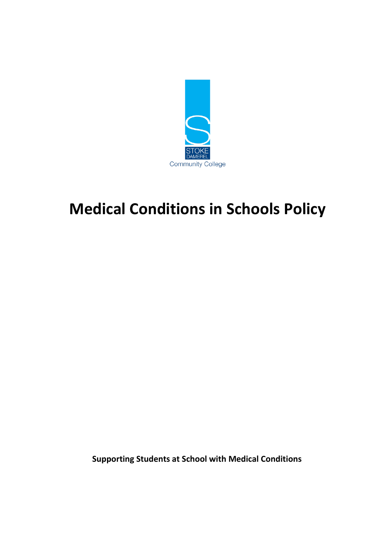

# **Medical Conditions in Schools Policy**

 **Supporting Students at School with Medical Conditions**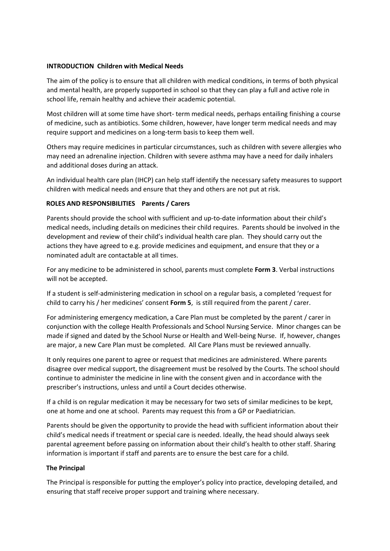#### **INTRODUCTION Children with Medical Needs**

The aim of the policy is to ensure that all children with medical conditions, in terms of both physical and mental health, are properly supported in school so that they can play a full and active role in school life, remain healthy and achieve their academic potential.

Most children will at some time have short- term medical needs, perhaps entailing finishing a course of medicine, such as antibiotics. Some children, however, have longer term medical needs and may require support and medicines on a long-term basis to keep them well.

Others may require medicines in particular circumstances, such as children with severe allergies who may need an adrenaline injection. Children with severe asthma may have a need for daily inhalers and additional doses during an attack.

An individual health care plan (IHCP) can help staff identify the necessary safety measures to support children with medical needs and ensure that they and others are not put at risk.

#### **ROLES AND RESPONSIBILITIES Parents / Carers**

Parents should provide the school with sufficient and up-to-date information about their child's medical needs, including details on medicines their child requires. Parents should be involved in the development and review of their child's individual health care plan. They should carry out the actions they have agreed to e.g. provide medicines and equipment, and ensure that they or a nominated adult are contactable at all times.

For any medicine to be administered in school, parents must complete **Form 3**. Verbal instructions will not be accepted.

If a student is self-administering medication in school on a regular basis, a completed 'request for child to carry his / her medicines' consent **Form 5**, is still required from the parent / carer.

For administering emergency medication, a Care Plan must be completed by the parent / carer in conjunction with the college Health Professionals and School Nursing Service. Minor changes can be made if signed and dated by the School Nurse or Health and Well-being Nurse. If, however, changes are major, a new Care Plan must be completed. All Care Plans must be reviewed annually.

It only requires one parent to agree or request that medicines are administered. Where parents disagree over medical support, the disagreement must be resolved by the Courts. The school should continue to administer the medicine in line with the consent given and in accordance with the prescriber's instructions, unless and until a Court decides otherwise.

If a child is on regular medication it may be necessary for two sets of similar medicines to be kept, one at home and one at school. Parents may request this from a GP or Paediatrician.

Parents should be given the opportunity to provide the head with sufficient information about their child's medical needs if treatment or special care is needed. Ideally, the head should always seek parental agreement before passing on information about their child's health to other staff. Sharing information is important if staff and parents are to ensure the best care for a child.

#### **The Principal**

The Principal is responsible for putting the employer's policy into practice, developing detailed, and ensuring that staff receive proper support and training where necessary.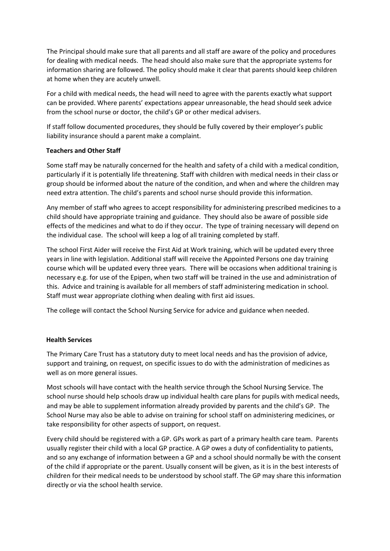The Principal should make sure that all parents and all staff are aware of the policy and procedures for dealing with medical needs. The head should also make sure that the appropriate systems for information sharing are followed. The policy should make it clear that parents should keep children at home when they are acutely unwell.

For a child with medical needs, the head will need to agree with the parents exactly what support can be provided. Where parents' expectations appear unreasonable, the head should seek advice from the school nurse or doctor, the child's GP or other medical advisers.

If staff follow documented procedures, they should be fully covered by their employer's public liability insurance should a parent make a complaint.

#### **Teachers and Other Staff**

Some staff may be naturally concerned for the health and safety of a child with a medical condition, particularly if it is potentially life threatening. Staff with children with medical needs in their class or group should be informed about the nature of the condition, and when and where the children may need extra attention. The child's parents and school nurse should provide this information.

Any member of staff who agrees to accept responsibility for administering prescribed medicines to a child should have appropriate training and guidance. They should also be aware of possible side effects of the medicines and what to do if they occur. The type of training necessary will depend on the individual case. The school will keep a log of all training completed by staff.

The school First Aider will receive the First Aid at Work training, which will be updated every three years in line with legislation. Additional staff will receive the Appointed Persons one day training course which will be updated every three years. There will be occasions when additional training is necessary e.g. for use of the Epipen, when two staff will be trained in the use and administration of this. Advice and training is available for all members of staff administering medication in school. Staff must wear appropriate clothing when dealing with first aid issues.

The college will contact the School Nursing Service for advice and guidance when needed.

#### **Health Services**

The Primary Care Trust has a statutory duty to meet local needs and has the provision of advice, support and training, on request, on specific issues to do with the administration of medicines as well as on more general issues.

Most schools will have contact with the health service through the School Nursing Service. The school nurse should help schools draw up individual health care plans for pupils with medical needs, and may be able to supplement information already provided by parents and the child's GP. The School Nurse may also be able to advise on training for school staff on administering medicines, or take responsibility for other aspects of support, on request.

Every child should be registered with a GP. GPs work as part of a primary health care team. Parents usually register their child with a local GP practice. A GP owes a duty of confidentiality to patients, and so any exchange of information between a GP and a school should normally be with the consent of the child if appropriate or the parent. Usually consent will be given, as it is in the best interests of children for their medical needs to be understood by school staff. The GP may share this information directly or via the school health service.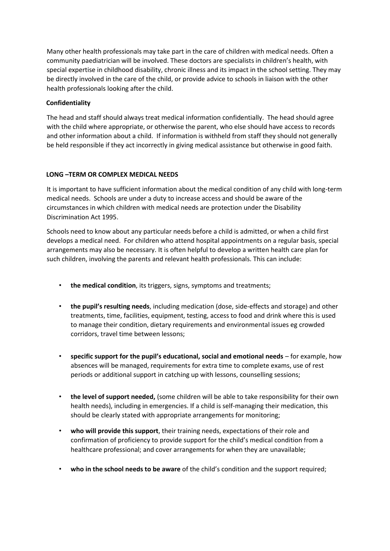Many other health professionals may take part in the care of children with medical needs. Often a community paediatrician will be involved. These doctors are specialists in children's health, with special expertise in childhood disability, chronic illness and its impact in the school setting. They may be directly involved in the care of the child, or provide advice to schools in liaison with the other health professionals looking after the child.

#### **Confidentiality**

The head and staff should always treat medical information confidentially. The head should agree with the child where appropriate, or otherwise the parent, who else should have access to records and other information about a child. If information is withheld from staff they should not generally be held responsible if they act incorrectly in giving medical assistance but otherwise in good faith.

#### **LONG –TERM OR COMPLEX MEDICAL NEEDS**

It is important to have sufficient information about the medical condition of any child with long-term medical needs. Schools are under a duty to increase access and should be aware of the circumstances in which children with medical needs are protection under the Disability Discrimination Act 1995.

Schools need to know about any particular needs before a child is admitted, or when a child first develops a medical need. For children who attend hospital appointments on a regular basis, special arrangements may also be necessary. It is often helpful to develop a written health care plan for such children, involving the parents and relevant health professionals. This can include:

- **the medical condition**, its triggers, signs, symptoms and treatments;
- **the pupil's resulting needs**, including medication (dose, side-effects and storage) and other treatments, time, facilities, equipment, testing, access to food and drink where this is used to manage their condition, dietary requirements and environmental issues eg crowded corridors, travel time between lessons;
- **specific support for the pupil's educational, social and emotional needs** for example, how absences will be managed, requirements for extra time to complete exams, use of rest periods or additional support in catching up with lessons, counselling sessions;
- **the level of support needed,** (some children will be able to take responsibility for their own health needs), including in emergencies. If a child is self-managing their medication, this should be clearly stated with appropriate arrangements for monitoring;
- **who will provide this support**, their training needs, expectations of their role and confirmation of proficiency to provide support for the child's medical condition from a healthcare professional; and cover arrangements for when they are unavailable;
- **who in the school needs to be aware** of the child's condition and the support required;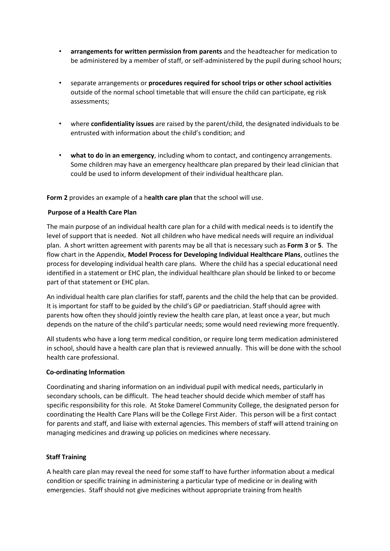- **arrangements for written permission from parents** and the headteacher for medication to be administered by a member of staff, or self-administered by the pupil during school hours;
- separate arrangements or **procedures required for school trips or other school activities** outside of the normal school timetable that will ensure the child can participate, eg risk assessments;
- where **confidentiality issues** are raised by the parent/child, the designated individuals to be entrusted with information about the child's condition; and
- **what to do in an emergency**, including whom to contact, and contingency arrangements. Some children may have an emergency healthcare plan prepared by their lead clinician that could be used to inform development of their individual healthcare plan.

**Form 2** provides an example of a h**ealth care plan** that the school will use.

#### **Purpose of a Health Care Plan**

The main purpose of an individual health care plan for a child with medical needs is to identify the level of support that is needed. Not all children who have medical needs will require an individual plan. A short written agreement with parents may be all that is necessary such as **Form 3** or **5**. The flow chart in the Appendix, **Model Process for Developing Individual Healthcare Plans**, outlines the process for developing individual health care plans. Where the child has a special educational need identified in a statement or EHC plan, the individual healthcare plan should be linked to or become part of that statement or EHC plan.

An individual health care plan clarifies for staff, parents and the child the help that can be provided. It is important for staff to be guided by the child's GP or paediatrician. Staff should agree with parents how often they should jointly review the health care plan, at least once a year, but much depends on the nature of the child's particular needs; some would need reviewing more frequently.

All students who have a long term medical condition, or require long term medication administered in school, should have a health care plan that is reviewed annually. This will be done with the school health care professional.

#### **Co-ordinating Information**

Coordinating and sharing information on an individual pupil with medical needs, particularly in secondary schools, can be difficult. The head teacher should decide which member of staff has specific responsibility for this role. At Stoke Damerel Community College, the designated person for coordinating the Health Care Plans will be the College First Aider. This person will be a first contact for parents and staff, and liaise with external agencies. This members of staff will attend training on managing medicines and drawing up policies on medicines where necessary.

#### **Staff Training**

A health care plan may reveal the need for some staff to have further information about a medical condition or specific training in administering a particular type of medicine or in dealing with emergencies. Staff should not give medicines without appropriate training from health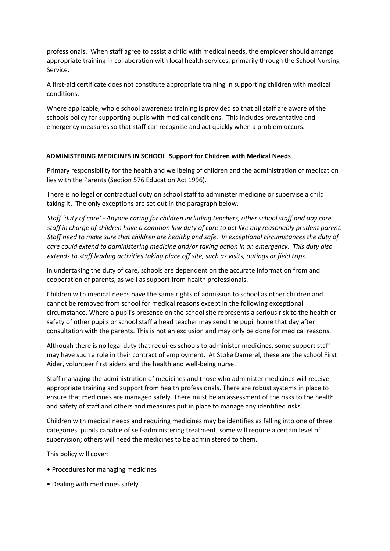professionals. When staff agree to assist a child with medical needs, the employer should arrange appropriate training in collaboration with local health services, primarily through the School Nursing Service.

A first-aid certificate does not constitute appropriate training in supporting children with medical conditions.

Where applicable, whole school awareness training is provided so that all staff are aware of the schools policy for supporting pupils with medical conditions. This includes preventative and emergency measures so that staff can recognise and act quickly when a problem occurs.

#### **ADMINISTERING MEDICINES IN SCHOOL Support for Children with Medical Needs**

Primary responsibility for the health and wellbeing of children and the administration of medication lies with the Parents (Section 576 Education Act 1996).

There is no legal or contractual duty on school staff to administer medicine or supervise a child taking it. The only exceptions are set out in the paragraph below.

*Staff 'duty of care' - Anyone caring for children including teachers, other school staff and day care staff in charge of children have a common law duty of care to act like any reasonably prudent parent. Staff need to make sure that children are healthy and safe. In exceptional circumstances the duty of care could extend to administering medicine and/or taking action in an emergency. This duty also extends to staff leading activities taking place off site, such as visits, outings or field trips.* 

In undertaking the duty of care, schools are dependent on the accurate information from and cooperation of parents, as well as support from health professionals.

Children with medical needs have the same rights of admission to school as other children and cannot be removed from school for medical reasons except in the following exceptional circumstance. Where a pupil's presence on the school site represents a serious risk to the health or safety of other pupils or school staff a head teacher may send the pupil home that day after consultation with the parents. This is not an exclusion and may only be done for medical reasons.

Although there is no legal duty that requires schools to administer medicines, some support staff may have such a role in their contract of employment. At Stoke Damerel, these are the school First Aider, volunteer first aiders and the health and well-being nurse.

Staff managing the administration of medicines and those who administer medicines will receive appropriate training and support from health professionals. There are robust systems in place to ensure that medicines are managed safely. There must be an assessment of the risks to the health and safety of staff and others and measures put in place to manage any identified risks.

Children with medical needs and requiring medicines may be identifies as falling into one of three categories: pupils capable of self-administering treatment; some will require a certain level of supervision; others will need the medicines to be administered to them.

This policy will cover:

- Procedures for managing medicines
- Dealing with medicines safely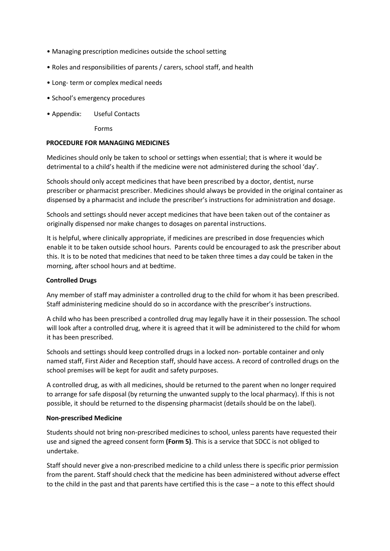- Managing prescription medicines outside the school setting
- Roles and responsibilities of parents / carers, school staff, and health
- Long- term or complex medical needs
- School's emergency procedures
- Appendix: Useful Contacts

Forms

#### **PROCEDURE FOR MANAGING MEDICINES**

Medicines should only be taken to school or settings when essential; that is where it would be detrimental to a child's health if the medicine were not administered during the school 'day'.

Schools should only accept medicines that have been prescribed by a doctor, dentist, nurse prescriber or pharmacist prescriber. Medicines should always be provided in the original container as dispensed by a pharmacist and include the prescriber's instructions for administration and dosage.

Schools and settings should never accept medicines that have been taken out of the container as originally dispensed nor make changes to dosages on parental instructions.

It is helpful, where clinically appropriate, if medicines are prescribed in dose frequencies which enable it to be taken outside school hours. Parents could be encouraged to ask the prescriber about this. It is to be noted that medicines that need to be taken three times a day could be taken in the morning, after school hours and at bedtime.

#### **Controlled Drugs**

Any member of staff may administer a controlled drug to the child for whom it has been prescribed. Staff administering medicine should do so in accordance with the prescriber's instructions.

A child who has been prescribed a controlled drug may legally have it in their possession. The school will look after a controlled drug, where it is agreed that it will be administered to the child for whom it has been prescribed.

Schools and settings should keep controlled drugs in a locked non- portable container and only named staff, First Aider and Reception staff, should have access. A record of controlled drugs on the school premises will be kept for audit and safety purposes.

A controlled drug, as with all medicines, should be returned to the parent when no longer required to arrange for safe disposal (by returning the unwanted supply to the local pharmacy). If this is not possible, it should be returned to the dispensing pharmacist (details should be on the label).

#### **Non-prescribed Medicine**

Students should not bring non-prescribed medicines to school, unless parents have requested their use and signed the agreed consent form **(Form 5)**. This is a service that SDCC is not obliged to undertake.

Staff should never give a non-prescribed medicine to a child unless there is specific prior permission from the parent. Staff should check that the medicine has been administered without adverse effect to the child in the past and that parents have certified this is the case – a note to this effect should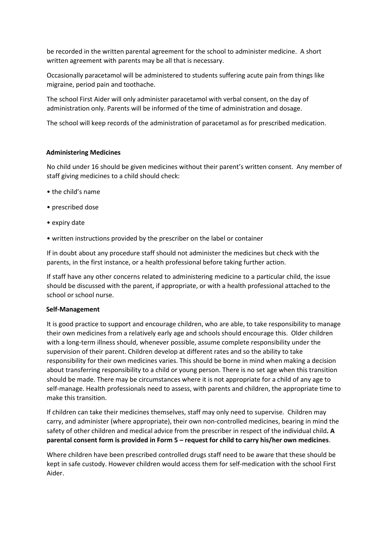be recorded in the written parental agreement for the school to administer medicine. A short written agreement with parents may be all that is necessary.

Occasionally paracetamol will be administered to students suffering acute pain from things like migraine, period pain and toothache.

The school First Aider will only administer paracetamol with verbal consent, on the day of administration only. Parents will be informed of the time of administration and dosage.

The school will keep records of the administration of paracetamol as for prescribed medication.

#### **Administering Medicines**

No child under 16 should be given medicines without their parent's written consent. Any member of staff giving medicines to a child should check:

- the child's name
- prescribed dose
- expiry date
- written instructions provided by the prescriber on the label or container

If in doubt about any procedure staff should not administer the medicines but check with the parents, in the first instance, or a health professional before taking further action.

If staff have any other concerns related to administering medicine to a particular child, the issue should be discussed with the parent, if appropriate, or with a health professional attached to the school or school nurse.

#### **Self-Management**

It is good practice to support and encourage children, who are able, to take responsibility to manage their own medicines from a relatively early age and schools should encourage this. Older children with a long-term illness should, whenever possible, assume complete responsibility under the supervision of their parent. Children develop at different rates and so the ability to take responsibility for their own medicines varies. This should be borne in mind when making a decision about transferring responsibility to a child or young person. There is no set age when this transition should be made. There may be circumstances where it is not appropriate for a child of any age to self-manage. Health professionals need to assess, with parents and children, the appropriate time to make this transition.

If children can take their medicines themselves, staff may only need to supervise. Children may carry, and administer (where appropriate), their own non-controlled medicines, bearing in mind the safety of other children and medical advice from the prescriber in respect of the individual child**. A parental consent form is provided in Form 5 – request for child to carry his/her own medicines**.

Where children have been prescribed controlled drugs staff need to be aware that these should be kept in safe custody. However children would access them for self-medication with the school First Aider.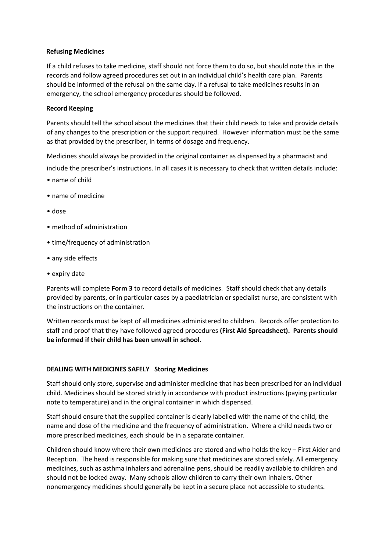#### **Refusing Medicines**

If a child refuses to take medicine, staff should not force them to do so, but should note this in the records and follow agreed procedures set out in an individual child's health care plan. Parents should be informed of the refusal on the same day. If a refusal to take medicines results in an emergency, the school emergency procedures should be followed.

#### **Record Keeping**

Parents should tell the school about the medicines that their child needs to take and provide details of any changes to the prescription or the support required. However information must be the same as that provided by the prescriber, in terms of dosage and frequency.

Medicines should always be provided in the original container as dispensed by a pharmacist and

include the prescriber's instructions. In all cases it is necessary to check that written details include:

- name of child
- name of medicine
- dose
- method of administration
- time/frequency of administration
- any side effects
- expiry date

Parents will complete **Form 3** to record details of medicines. Staff should check that any details provided by parents, or in particular cases by a paediatrician or specialist nurse, are consistent with the instructions on the container.

Written records must be kept of all medicines administered to children. Records offer protection to staff and proof that they have followed agreed procedures **(First Aid Spreadsheet). Parents should be informed if their child has been unwell in school.**

#### **DEALING WITH MEDICINES SAFELY Storing Medicines**

Staff should only store, supervise and administer medicine that has been prescribed for an individual child. Medicines should be stored strictly in accordance with product instructions (paying particular note to temperature) and in the original container in which dispensed.

Staff should ensure that the supplied container is clearly labelled with the name of the child, the name and dose of the medicine and the frequency of administration. Where a child needs two or more prescribed medicines, each should be in a separate container.

Children should know where their own medicines are stored and who holds the key – First Aider and Reception. The head is responsible for making sure that medicines are stored safely. All emergency medicines, such as asthma inhalers and adrenaline pens, should be readily available to children and should not be locked away. Many schools allow children to carry their own inhalers. Other nonemergency medicines should generally be kept in a secure place not accessible to students.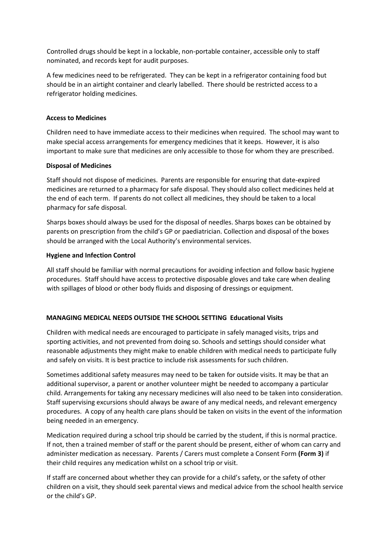Controlled drugs should be kept in a lockable, non-portable container, accessible only to staff nominated, and records kept for audit purposes.

A few medicines need to be refrigerated. They can be kept in a refrigerator containing food but should be in an airtight container and clearly labelled. There should be restricted access to a refrigerator holding medicines.

#### **Access to Medicines**

Children need to have immediate access to their medicines when required. The school may want to make special access arrangements for emergency medicines that it keeps. However, it is also important to make sure that medicines are only accessible to those for whom they are prescribed.

#### **Disposal of Medicines**

Staff should not dispose of medicines. Parents are responsible for ensuring that date-expired medicines are returned to a pharmacy for safe disposal. They should also collect medicines held at the end of each term. If parents do not collect all medicines, they should be taken to a local pharmacy for safe disposal.

Sharps boxes should always be used for the disposal of needles. Sharps boxes can be obtained by parents on prescription from the child's GP or paediatrician. Collection and disposal of the boxes should be arranged with the Local Authority's environmental services.

#### **Hygiene and Infection Control**

All staff should be familiar with normal precautions for avoiding infection and follow basic hygiene procedures. Staff should have access to protective disposable gloves and take care when dealing with spillages of blood or other body fluids and disposing of dressings or equipment.

#### **MANAGING MEDICAL NEEDS OUTSIDE THE SCHOOL SETTING Educational Visits**

Children with medical needs are encouraged to participate in safely managed visits, trips and sporting activities, and not prevented from doing so. Schools and settings should consider what reasonable adjustments they might make to enable children with medical needs to participate fully and safely on visits. It is best practice to include risk assessments for such children.

Sometimes additional safety measures may need to be taken for outside visits. It may be that an additional supervisor, a parent or another volunteer might be needed to accompany a particular child. Arrangements for taking any necessary medicines will also need to be taken into consideration. Staff supervising excursions should always be aware of any medical needs, and relevant emergency procedures. A copy of any health care plans should be taken on visits in the event of the information being needed in an emergency.

Medication required during a school trip should be carried by the student, if this is normal practice. If not, then a trained member of staff or the parent should be present, either of whom can carry and administer medication as necessary. Parents / Carers must complete a Consent Form **(Form 3)** if their child requires any medication whilst on a school trip or visit.

If staff are concerned about whether they can provide for a child's safety, or the safety of other children on a visit, they should seek parental views and medical advice from the school health service or the child's GP.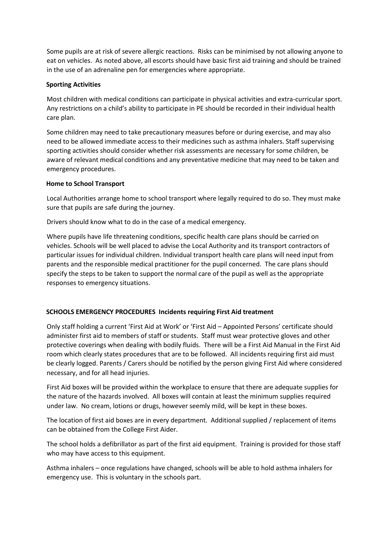Some pupils are at risk of severe allergic reactions. Risks can be minimised by not allowing anyone to eat on vehicles. As noted above, all escorts should have basic first aid training and should be trained in the use of an adrenaline pen for emergencies where appropriate.

#### **Sporting Activities**

Most children with medical conditions can participate in physical activities and extra-curricular sport. Any restrictions on a child's ability to participate in PE should be recorded in their individual health care plan.

Some children may need to take precautionary measures before or during exercise, and may also need to be allowed immediate access to their medicines such as asthma inhalers. Staff supervising sporting activities should consider whether risk assessments are necessary for some children, be aware of relevant medical conditions and any preventative medicine that may need to be taken and emergency procedures.

#### **Home to School Transport**

Local Authorities arrange home to school transport where legally required to do so. They must make sure that pupils are safe during the journey.

Drivers should know what to do in the case of a medical emergency.

Where pupils have life threatening conditions, specific health care plans should be carried on vehicles. Schools will be well placed to advise the Local Authority and its transport contractors of particular issues for individual children. Individual transport health care plans will need input from parents and the responsible medical practitioner for the pupil concerned. The care plans should specify the steps to be taken to support the normal care of the pupil as well as the appropriate responses to emergency situations.

#### **SCHOOLS EMERGENCY PROCEDURES Incidents requiring First Aid treatment**

Only staff holding a current 'First Aid at Work' or 'First Aid – Appointed Persons' certificate should administer first aid to members of staff or students. Staff must wear protective gloves and other protective coverings when dealing with bodily fluids. There will be a First Aid Manual in the First Aid room which clearly states procedures that are to be followed. All incidents requiring first aid must be clearly logged. Parents / Carers should be notified by the person giving First Aid where considered necessary, and for all head injuries.

First Aid boxes will be provided within the workplace to ensure that there are adequate supplies for the nature of the hazards involved. All boxes will contain at least the minimum supplies required under law. No cream, lotions or drugs, however seemly mild, will be kept in these boxes.

The location of first aid boxes are in every department. Additional supplied / replacement of items can be obtained from the College First Aider.

The school holds a defibrillator as part of the first aid equipment. Training is provided for those staff who may have access to this equipment.

Asthma inhalers – once regulations have changed, schools will be able to hold asthma inhalers for emergency use. This is voluntary in the schools part.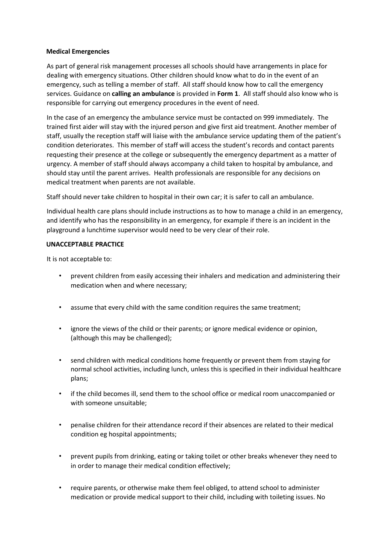#### **Medical Emergencies**

As part of general risk management processes all schools should have arrangements in place for dealing with emergency situations. Other children should know what to do in the event of an emergency, such as telling a member of staff. All staff should know how to call the emergency services. Guidance on **calling an ambulance** is provided in **Form 1**. All staff should also know who is responsible for carrying out emergency procedures in the event of need.

In the case of an emergency the ambulance service must be contacted on 999 immediately. The trained first aider will stay with the injured person and give first aid treatment. Another member of staff, usually the reception staff will liaise with the ambulance service updating them of the patient's condition deteriorates. This member of staff will access the student's records and contact parents requesting their presence at the college or subsequently the emergency department as a matter of urgency. A member of staff should always accompany a child taken to hospital by ambulance, and should stay until the parent arrives. Health professionals are responsible for any decisions on medical treatment when parents are not available.

Staff should never take children to hospital in their own car; it is safer to call an ambulance.

Individual health care plans should include instructions as to how to manage a child in an emergency, and identify who has the responsibility in an emergency, for example if there is an incident in the playground a lunchtime supervisor would need to be very clear of their role.

#### **UNACCEPTABLE PRACTICE**

It is not acceptable to:

- prevent children from easily accessing their inhalers and medication and administering their medication when and where necessary;
- assume that every child with the same condition requires the same treatment;
- ignore the views of the child or their parents; or ignore medical evidence or opinion, (although this may be challenged);
- send children with medical conditions home frequently or prevent them from staying for normal school activities, including lunch, unless this is specified in their individual healthcare plans;
- if the child becomes ill, send them to the school office or medical room unaccompanied or with someone unsuitable;
- penalise children for their attendance record if their absences are related to their medical condition eg hospital appointments;
- prevent pupils from drinking, eating or taking toilet or other breaks whenever they need to in order to manage their medical condition effectively;
- require parents, or otherwise make them feel obliged, to attend school to administer medication or provide medical support to their child, including with toileting issues. No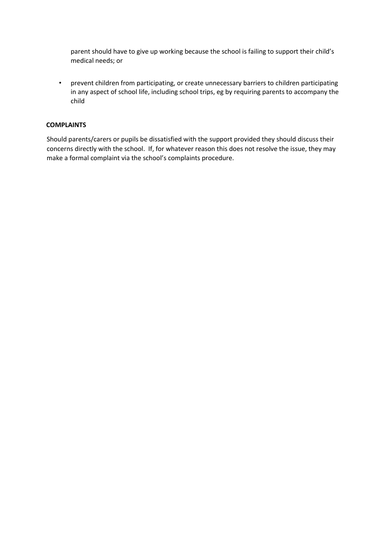parent should have to give up working because the school is failing to support their child's medical needs; or

• prevent children from participating, or create unnecessary barriers to children participating in any aspect of school life, including school trips, eg by requiring parents to accompany the child

#### **COMPLAINTS**

Should parents/carers or pupils be dissatisfied with the support provided they should discuss their concerns directly with the school. If, for whatever reason this does not resolve the issue, they may make a formal complaint via the school's complaints procedure.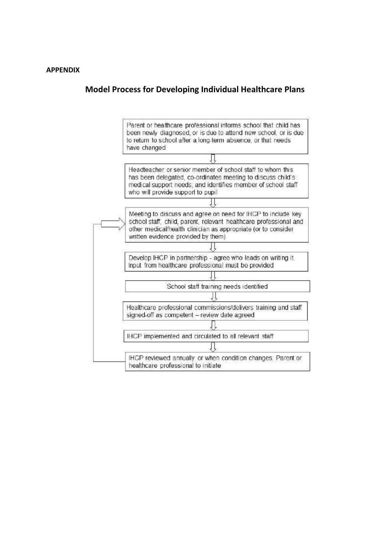#### **Model Process for Developing Individual Healthcare Plans**

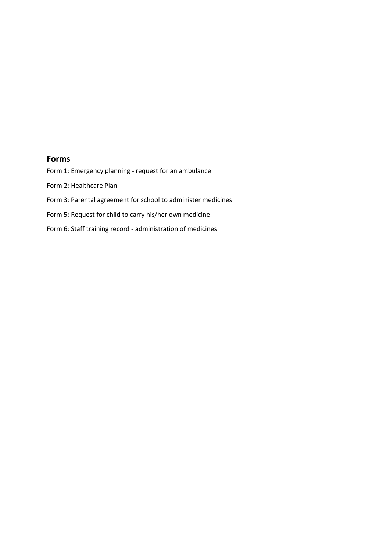#### **Forms**

Form 1: Emergency planning - request for an ambulance

Form 2: Healthcare Plan

- Form 3: Parental agreement for school to administer medicines
- Form 5: Request for child to carry his/her own medicine
- Form 6: Staff training record administration of medicines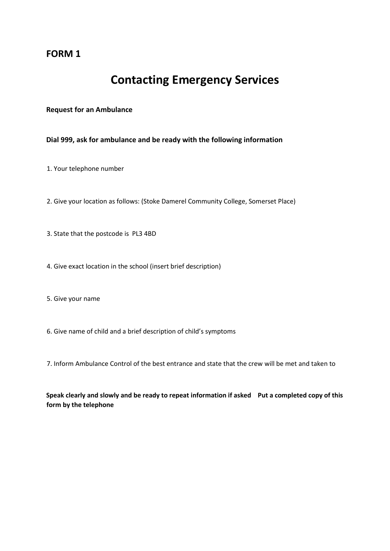### **FORM 1**

# **Contacting Emergency Services**

#### **Request for an Ambulance**

**Dial 999, ask for ambulance and be ready with the following information** 

1. Your telephone number

- 2. Give your location as follows: (Stoke Damerel Community College, Somerset Place)
- 3. State that the postcode is PL3 4BD
- 4. Give exact location in the school (insert brief description)
- 5. Give your name
- 6. Give name of child and a brief description of child's symptoms
- 7. Inform Ambulance Control of the best entrance and state that the crew will be met and taken to

**Speak clearly and slowly and be ready to repeat information if asked Put a completed copy of this form by the telephone**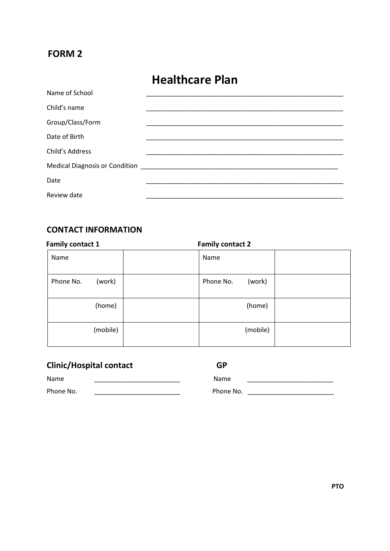### **FORM 2**

# **Healthcare Plan**

| Name of School   |                                                                  |  |
|------------------|------------------------------------------------------------------|--|
| Child's name     |                                                                  |  |
| Group/Class/Form |                                                                  |  |
| Date of Birth    |                                                                  |  |
| Child's Address  |                                                                  |  |
|                  | Medical Diagnosis or Condition<br>Medical Diagnosis or Condition |  |
| Date             |                                                                  |  |
| Review date      |                                                                  |  |

### **CONTACT INFORMATION**

| <b>Family contact 1</b> | <b>Family contact 2</b> |  |
|-------------------------|-------------------------|--|
| Name                    | Name                    |  |
| Phone No.<br>(work)     | (work)<br>Phone No.     |  |
| (home)                  | (home)                  |  |
| (mobile)                | (mobile)                |  |

## **Clinic/Hospital contact GP**

| Name      |  |
|-----------|--|
| Phone No. |  |

Name \_\_\_\_\_\_\_\_\_\_\_\_\_\_\_\_\_\_\_\_\_\_\_\_ Name \_\_\_\_\_\_\_\_\_\_\_\_\_\_\_\_\_\_\_\_\_\_\_\_ Phone No. \_\_\_\_\_\_\_\_\_\_\_\_\_\_\_\_\_\_\_\_\_\_\_\_ Phone No. \_\_\_\_\_\_\_\_\_\_\_\_\_\_\_\_\_\_\_\_\_\_\_\_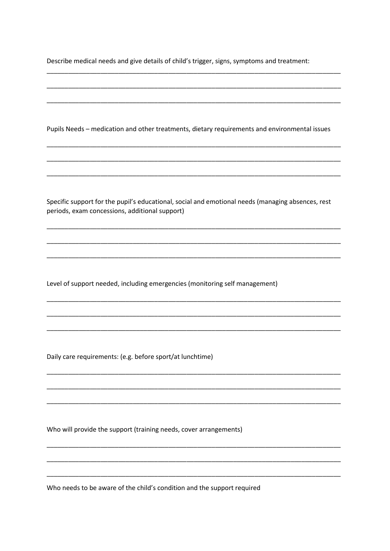Describe medical needs and give details of child's trigger, signs, symptoms and treatment:

Pupils Needs - medication and other treatments, dietary requirements and environmental issues Specific support for the pupil's educational, social and emotional needs (managing absences, rest periods, exam concessions, additional support) Level of support needed, including emergencies (monitoring self management) Daily care requirements: (e.g. before sport/at lunchtime) Who will provide the support (training needs, cover arrangements)

Who needs to be aware of the child's condition and the support required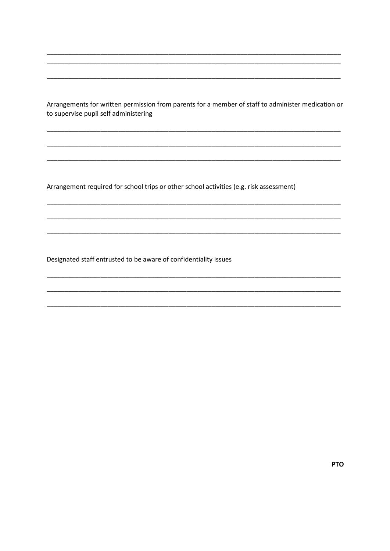Arrangements for written permission from parents for a member of staff to administer medication or to supervise pupil self administering

Arrangement required for school trips or other school activities (e.g. risk assessment)

Designated staff entrusted to be aware of confidentiality issues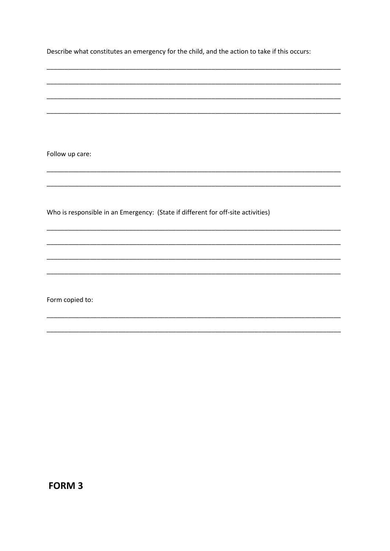Describe what constitutes an emergency for the child, and the action to take if this occurs:

Follow up care:

Who is responsible in an Emergency: (State if different for off-site activities)

Form copied to:

**FORM 3**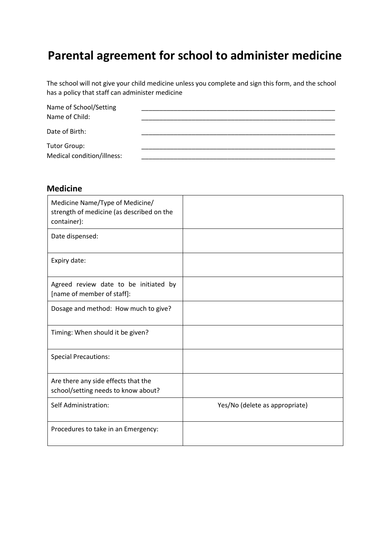# **Parental agreement for school to administer medicine**

The school will not give your child medicine unless you complete and sign this form, and the school has a policy that staff can administer medicine

| Name of School/Setting     |  |
|----------------------------|--|
| Name of Child:             |  |
| Date of Birth:             |  |
| <b>Tutor Group:</b>        |  |
| Medical condition/illness: |  |

#### **Medicine**

| Medicine Name/Type of Medicine/<br>strength of medicine (as described on the<br>container): |                                |
|---------------------------------------------------------------------------------------------|--------------------------------|
| Date dispensed:                                                                             |                                |
| Expiry date:                                                                                |                                |
| Agreed review date to be initiated by<br>[name of member of staff]:                         |                                |
| Dosage and method: How much to give?                                                        |                                |
| Timing: When should it be given?                                                            |                                |
| <b>Special Precautions:</b>                                                                 |                                |
| Are there any side effects that the<br>school/setting needs to know about?                  |                                |
| Self Administration:                                                                        | Yes/No (delete as appropriate) |
| Procedures to take in an Emergency:                                                         |                                |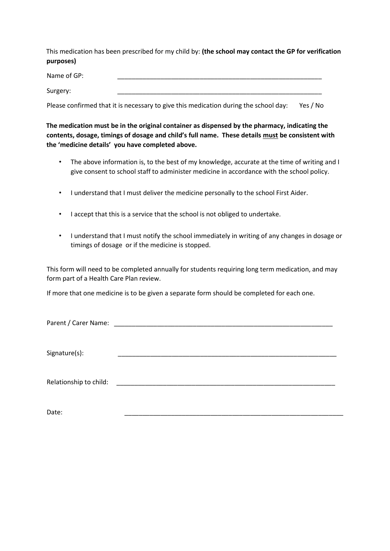This medication has been prescribed for my child by: **(the school may contact the GP for verification purposes)**

Name of GP:

Surgery: \_\_\_\_\_\_\_\_\_\_\_\_\_\_\_\_\_\_\_\_\_\_\_\_\_\_\_\_\_\_\_\_\_\_\_\_\_\_\_\_\_\_\_\_\_\_\_\_\_\_\_\_\_\_\_\_\_

Please confirmed that it is necessary to give this medication during the school day: Yes / No

**The medication must be in the original container as dispensed by the pharmacy, indicating the contents, dosage, timings of dosage and child's full name. These details must be consistent with the 'medicine details' you have completed above.** 

- The above information is, to the best of my knowledge, accurate at the time of writing and I give consent to school staff to administer medicine in accordance with the school policy.
- I understand that I must deliver the medicine personally to the school First Aider.
- I accept that this is a service that the school is not obliged to undertake.
- I understand that I must notify the school immediately in writing of any changes in dosage or timings of dosage or if the medicine is stopped.

This form will need to be completed annually for students requiring long term medication, and may form part of a Health Care Plan review.

If more that one medicine is to be given a separate form should be completed for each one.

Parent / Carer Name: \_\_\_\_\_\_\_\_\_\_\_\_\_\_\_\_\_\_\_\_\_\_\_\_\_\_\_\_\_\_\_\_\_\_\_\_\_\_\_\_\_\_\_\_\_\_\_\_\_\_\_\_\_\_\_\_\_\_\_\_\_

Signature(s):

Relationship to child:  $\Box$ 

Date: \_\_\_\_\_\_\_\_\_\_\_\_\_\_\_\_\_\_\_\_\_\_\_\_\_\_\_\_\_\_\_\_\_\_\_\_\_\_\_\_\_\_\_\_\_\_\_\_\_\_\_\_\_\_\_\_\_\_\_\_\_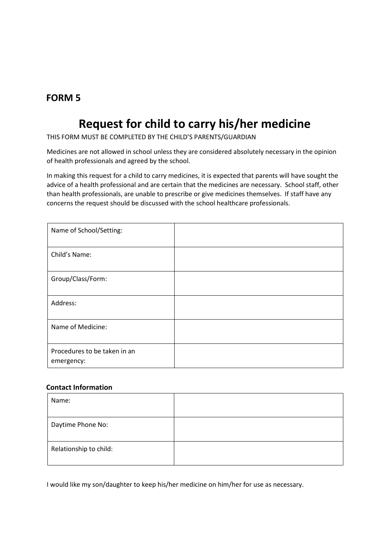### **FORM 5**

# **Request for child to carry his/her medicine**

THIS FORM MUST BE COMPLETED BY THE CHILD'S PARENTS/GUARDIAN

Medicines are not allowed in school unless they are considered absolutely necessary in the opinion of health professionals and agreed by the school.

In making this request for a child to carry medicines, it is expected that parents will have sought the advice of a health professional and are certain that the medicines are necessary. School staff, other than health professionals, are unable to prescribe or give medicines themselves. If staff have any concerns the request should be discussed with the school healthcare professionals.

| Name of School/Setting:                    |  |
|--------------------------------------------|--|
| Child's Name:                              |  |
| Group/Class/Form:                          |  |
| Address:                                   |  |
| Name of Medicine:                          |  |
| Procedures to be taken in an<br>emergency: |  |

#### **Contact Information**

| Name:                  |  |
|------------------------|--|
| Daytime Phone No:      |  |
| Relationship to child: |  |

I would like my son/daughter to keep his/her medicine on him/her for use as necessary.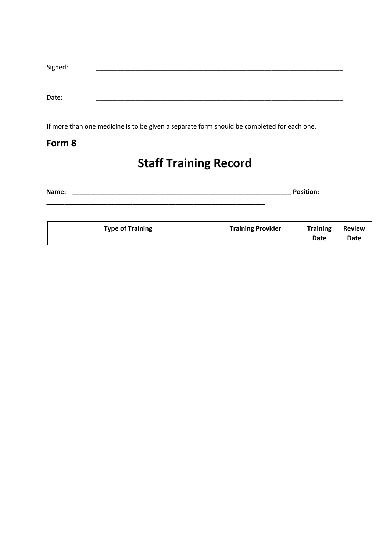| Signed: |  |  |  |
|---------|--|--|--|
|         |  |  |  |
|         |  |  |  |
|         |  |  |  |
| Date:   |  |  |  |
|         |  |  |  |

If more than one medicine is to be given a separate form should be completed for each one.

### **Form 8**

# **Staff Training Record**

**Name: \_\_\_\_\_\_\_\_\_\_\_\_\_\_\_\_\_\_\_\_\_\_\_\_\_\_\_\_\_\_\_\_\_\_\_\_\_\_\_\_\_\_\_\_\_\_\_\_\_\_\_\_\_\_\_\_\_\_\_\_\_ Position: \_\_\_\_\_\_\_\_\_\_\_\_\_\_\_\_\_\_\_\_\_\_\_\_\_\_\_\_\_\_\_\_\_\_\_\_\_\_\_\_\_\_\_\_\_\_\_\_\_\_\_\_\_\_\_\_\_\_\_\_\_** 

| <b>Type of Training</b> | <b>Training Provider</b> | <b>Training</b><br>Date | <b>Review</b><br>Date |
|-------------------------|--------------------------|-------------------------|-----------------------|
|-------------------------|--------------------------|-------------------------|-----------------------|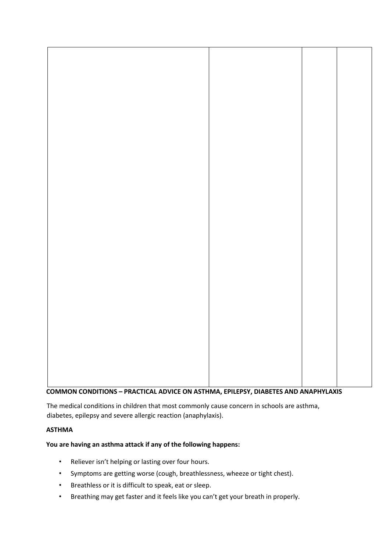

**COMMON CONDITIONS – PRACTICAL ADVICE ON ASTHMA, EPILEPSY, DIABETES AND ANAPHYLAXIS** 

The medical conditions in children that most commonly cause concern in schools are asthma, diabetes, epilepsy and severe allergic reaction (anaphylaxis).

#### **ASTHMA**

**You are having an asthma attack if any of the following happens:** 

- Reliever isn't helping or lasting over four hours.
- Symptoms are getting worse (cough, breathlessness, wheeze or tight chest).
- Breathless or it is difficult to speak, eat or sleep.
- Breathing may get faster and it feels like you can't get your breath in properly.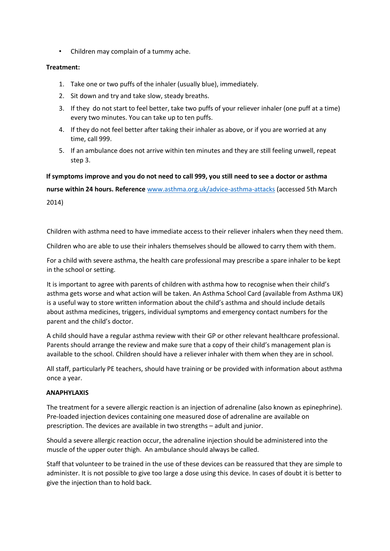• Children may complain of a tummy ache.

#### **Treatment:**

- 1. Take one or two puffs of the inhaler (usually blue), immediately.
- 2. Sit down and try and take slow, steady breaths.
- 3. If they do not start to feel better, take two puffs of your reliever inhaler (one puff at a time) every two minutes. You can take up to ten puffs.
- 4. If they do not feel better after taking their inhaler as above, or if you are worried at any time, call 999.
- 5. If an ambulance does not arrive within ten minutes and they are still feeling unwell, repeat step 3.

**If symptoms improve and you do not need to call 999, you still need to see a doctor or asthma nurse within 24 hours. Reference** [www.asthma.org.uk/advice-asthma-attacks](http://www.asthma.org.uk/advice-asthma-attacks) [\(a](http://www.asthma.org.uk/advice-asthma-attacks)ccessed 5th March 2014)

Children with asthma need to have immediate access to their reliever inhalers when they need them.

Children who are able to use their inhalers themselves should be allowed to carry them with them.

For a child with severe asthma, the health care professional may prescribe a spare inhaler to be kept in the school or setting.

It is important to agree with parents of children with asthma how to recognise when their child's asthma gets worse and what action will be taken. An Asthma School Card (available from Asthma UK) is a useful way to store written information about the child's asthma and should include details about asthma medicines, triggers, individual symptoms and emergency contact numbers for the parent and the child's doctor.

A child should have a regular asthma review with their GP or other relevant healthcare professional. Parents should arrange the review and make sure that a copy of their child's management plan is available to the school. Children should have a reliever inhaler with them when they are in school.

All staff, particularly PE teachers, should have training or be provided with information about asthma once a year.

#### **ANAPHYLAXIS**

The treatment for a severe allergic reaction is an injection of adrenaline (also known as epinephrine). Pre-loaded injection devices containing one measured dose of adrenaline are available on prescription. The devices are available in two strengths – adult and junior.

Should a severe allergic reaction occur, the adrenaline injection should be administered into the muscle of the upper outer thigh. An ambulance should always be called.

Staff that volunteer to be trained in the use of these devices can be reassured that they are simple to administer. It is not possible to give too large a dose using this device. In cases of doubt it is better to give the injection than to hold back.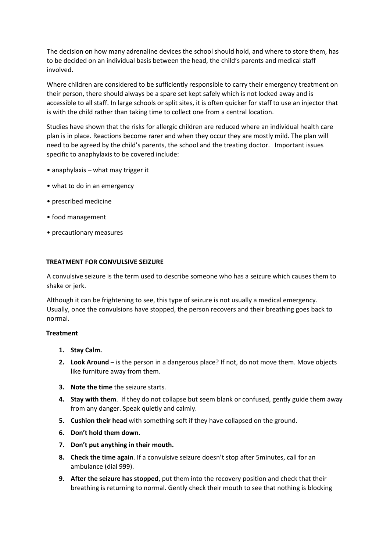The decision on how many adrenaline devices the school should hold, and where to store them, has to be decided on an individual basis between the head, the child's parents and medical staff involved.

Where children are considered to be sufficiently responsible to carry their emergency treatment on their person, there should always be a spare set kept safely which is not locked away and is accessible to all staff. In large schools or split sites, it is often quicker for staff to use an injector that is with the child rather than taking time to collect one from a central location.

Studies have shown that the risks for allergic children are reduced where an individual health care plan is in place. Reactions become rarer and when they occur they are mostly mild. The plan will need to be agreed by the child's parents, the school and the treating doctor. Important issues specific to anaphylaxis to be covered include:

- anaphylaxis what may trigger it
- what to do in an emergency
- prescribed medicine
- food management
- precautionary measures

#### **TREATMENT FOR CONVULSIVE SEIZURE**

A convulsive seizure is the term used to describe someone who has a seizure which causes them to shake or jerk.

Although it can be frightening to see, this type of seizure is not usually a medical emergency. Usually, once the convulsions have stopped, the person recovers and their breathing goes back to normal.

#### **Treatment**

- **1. Stay Calm.**
- **2. Look Around** is the person in a dangerous place? If not, do not move them. Move objects like furniture away from them.
- **3. Note the time** the seizure starts.
- **4. Stay with them**. If they do not collapse but seem blank or confused, gently guide them away from any danger. Speak quietly and calmly.
- **5. Cushion their head** with something soft if they have collapsed on the ground.
- **6. Don't hold them down.**
- **7. Don't put anything in their mouth.**
- **8. Check the time again**. If a convulsive seizure doesn't stop after 5minutes, call for an ambulance (dial 999).
- **9. After the seizure has stopped**, put them into the recovery position and check that their breathing is returning to normal. Gently check their mouth to see that nothing is blocking